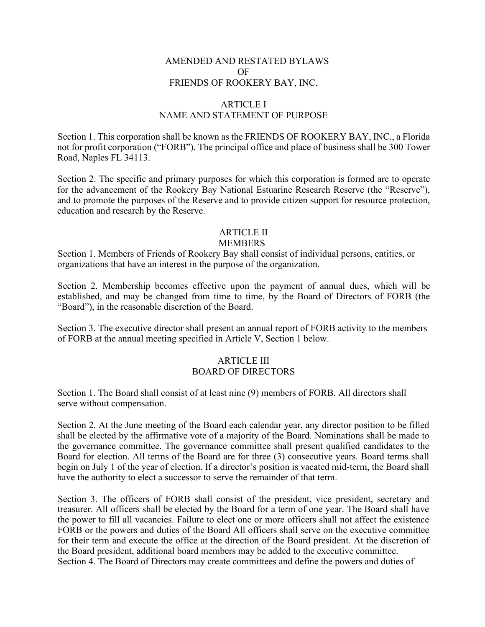## AMENDED AND RESTATED BYLAWS OF FRIENDS OF ROOKERY BAY, INC.

# ARTICLE I NAME AND STATEMENT OF PURPOSE

Section 1. This corporation shall be known as the FRIENDS OF ROOKERY BAY, INC., a Florida not for profit corporation ("FORB"). The principal office and place of business shall be 300 Tower Road, Naples FL 34113.

Section 2. The specific and primary purposes for which this corporation is formed are to operate for the advancement of the Rookery Bay National Estuarine Research Reserve (the "Reserve"), and to promote the purposes of the Reserve and to provide citizen support for resource protection, education and research by the Reserve.

### ARTICLE II

#### MEMBERS

Section 1. Members of Friends of Rookery Bay shall consist of individual persons, entities, or organizations that have an interest in the purpose of the organization.

Section 2. Membership becomes effective upon the payment of annual dues, which will be established, and may be changed from time to time, by the Board of Directors of FORB (the "Board"), in the reasonable discretion of the Board.

Section 3. The executive director shall present an annual report of FORB activity to the members of FORB at the annual meeting specified in Article V, Section 1 below.

#### ARTICLE III BOARD OF DIRECTORS

Section 1. The Board shall consist of at least nine (9) members of FORB. All directors shall serve without compensation.

Section 2. At the June meeting of the Board each calendar year, any director position to be filled shall be elected by the affirmative vote of a majority of the Board. Nominations shall be made to the governance committee. The governance committee shall present qualified candidates to the Board for election. All terms of the Board are for three (3) consecutive years. Board terms shall begin on July 1 of the year of election. If a director's position is vacated mid-term, the Board shall have the authority to elect a successor to serve the remainder of that term.

Section 3. The officers of FORB shall consist of the president, vice president, secretary and treasurer. All officers shall be elected by the Board for a term of one year. The Board shall have the power to fill all vacancies. Failure to elect one or more officers shall not affect the existence FORB or the powers and duties of the Board All officers shall serve on the executive committee for their term and execute the office at the direction of the Board president. At the discretion of the Board president, additional board members may be added to the executive committee. Section 4. The Board of Directors may create committees and define the powers and duties of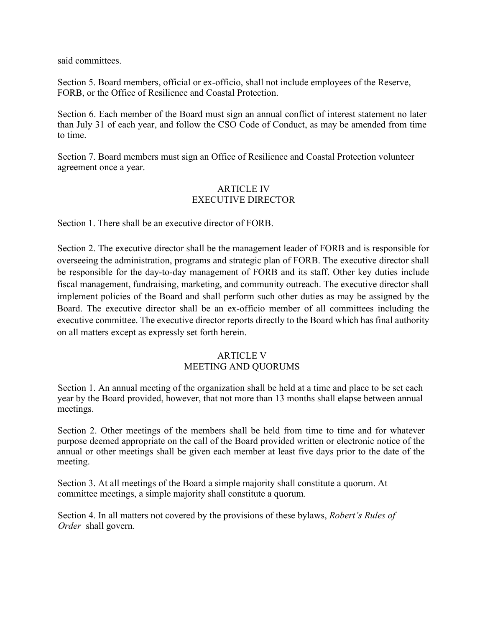said committees.

Section 5. Board members, official or ex-officio, shall not include employees of the Reserve, FORB, or the Office of Resilience and Coastal Protection.

Section 6. Each member of the Board must sign an annual conflict of interest statement no later than July 31 of each year, and follow the CSO Code of Conduct, as may be amended from time to time.

Section 7. Board members must sign an Office of Resilience and Coastal Protection volunteer agreement once a year.

# ARTICLE IV EXECUTIVE DIRECTOR

Section 1. There shall be an executive director of FORB.

Section 2. The executive director shall be the management leader of FORB and is responsible for overseeing the administration, programs and strategic plan of FORB. The executive director shall be responsible for the day-to-day management of FORB and its staff. Other key duties include fiscal management, fundraising, marketing, and community outreach. The executive director shall implement policies of the Board and shall perform such other duties as may be assigned by the Board. The executive director shall be an ex-officio member of all committees including the executive committee. The executive director reports directly to the Board which has final authority on all matters except as expressly set forth herein.

### ARTICLE V MEETING AND QUORUMS

Section 1. An annual meeting of the organization shall be held at a time and place to be set each year by the Board provided, however, that not more than 13 months shall elapse between annual meetings.

Section 2. Other meetings of the members shall be held from time to time and for whatever purpose deemed appropriate on the call of the Board provided written or electronic notice of the annual or other meetings shall be given each member at least five days prior to the date of the meeting.

Section 3. At all meetings of the Board a simple majority shall constitute a quorum. At committee meetings, a simple majority shall constitute a quorum.

Section 4. In all matters not covered by the provisions of these bylaws, *Robert's Rules of Order* shall govern.